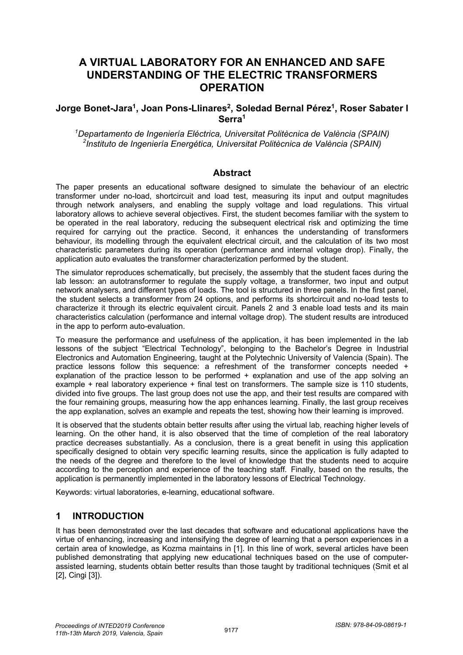# **A VIRTUAL LABORATORY FOR AN ENHANCED AND SAFE UNDERSTANDING OF THE ELECTRIC TRANSFORMERS OPERATION**

## **Jorge Bonet-Jara<sup>1</sup>, Joan Pons-Llinares<sup>2</sup>, Soledad Bernal Pérez<sup>1</sup>, Roser Sabater I Serra1**

*1 Departamento de Ingeniería Eléctrica, Universitat Politècnica de València (SPAIN) 2 Instituto de Ingeniería Energética, Universitat Politècnica de València (SPAIN)*

### **Abstract**

The paper presents an educational software designed to simulate the behaviour of an electric transformer under no-load, shortcircuit and load test, measuring its input and output magnitudes through network analysers, and enabling the supply voltage and load regulations. This virtual laboratory allows to achieve several objectives. First, the student becomes familiar with the system to be operated in the real laboratory, reducing the subsequent electrical risk and optimizing the time required for carrying out the practice. Second, it enhances the understanding of transformers behaviour, its modelling through the equivalent electrical circuit, and the calculation of its two most characteristic parameters during its operation (performance and internal voltage drop). Finally, the application auto evaluates the transformer characterization performed by the student.

The simulator reproduces schematically, but precisely, the assembly that the student faces during the lab lesson: an autotransformer to regulate the supply voltage, a transformer, two input and output network analysers, and different types of loads. The tool is structured in three panels. In the first panel, the student selects a transformer from 24 options, and performs its shortcircuit and no-load tests to characterize it through its electric equivalent circuit. Panels 2 and 3 enable load tests and its main characteristics calculation (performance and internal voltage drop). The student results are introduced in the app to perform auto-evaluation.

To measure the performance and usefulness of the application, it has been implemented in the lab lessons of the subject "Electrical Technology", belonging to the Bachelor's Degree in Industrial Electronics and Automation Engineering, taught at the Polytechnic University of Valencia (Spain). The practice lessons follow this sequence: a refreshment of the transformer concepts needed + explanation of the practice lesson to be performed + explanation and use of the app solving an example + real laboratory experience + final test on transformers. The sample size is 110 students, divided into five groups. The last group does not use the app, and their test results are compared with the four remaining groups, measuring how the app enhances learning. Finally, the last group receives the app explanation, solves an example and repeats the test, showing how their learning is improved.

It is observed that the students obtain better results after using the virtual lab, reaching higher levels of learning. On the other hand, it is also observed that the time of completion of the real laboratory practice decreases substantially. As a conclusion, there is a great benefit in using this application specifically designed to obtain very specific learning results, since the application is fully adapted to the needs of the degree and therefore to the level of knowledge that the students need to acquire according to the perception and experience of the teaching staff. Finally, based on the results, the application is permanently implemented in the laboratory lessons of Electrical Technology.

Keywords: virtual laboratories, e-learning, educational software.

## **1 INTRODUCTION**

It has been demonstrated over the last decades that software and educational applications have the virtue of enhancing, increasing and intensifying the degree of learning that a person experiences in a certain area of knowledge, as Kozma maintains in [1]. In this line of work, several articles have been published demonstrating that applying new educational techniques based on the use of computerassisted learning, students obtain better results than those taught by traditional techniques (Smit et al [2], Cingi [3]).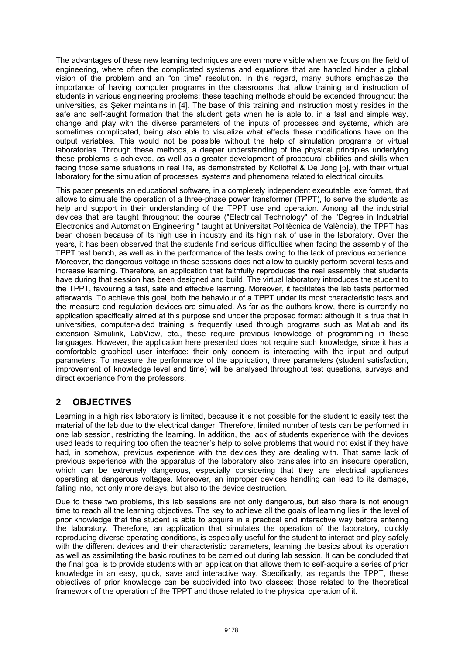The advantages of these new learning techniques are even more visible when we focus on the field of engineering, where often the complicated systems and equations that are handled hinder a global vision of the problem and an "on time" resolution. In this regard, many authors emphasize the importance of having computer programs in the classrooms that allow training and instruction of students in various engineering problems: these teaching methods should be extended throughout the universities, as Şeker maintains in [4]. The base of this training and instruction mostly resides in the safe and self-taught formation that the student gets when he is able to, in a fast and simple way, change and play with the diverse parameters of the inputs of processes and systems, which are sometimes complicated, being also able to visualize what effects these modifications have on the output variables. This would not be possible without the help of simulation programs or virtual laboratories. Through these methods, a deeper understanding of the physical principles underlying these problems is achieved, as well as a greater development of procedural abilities and skills when facing those same situations in real life, as demonstrated by Kollöffel & De Jong [5], with their virtual laboratory for the simulation of processes, systems and phenomena related to electrical circuits.

This paper presents an educational software, in a completely independent executable .exe format, that allows to simulate the operation of a three-phase power transformer (TPPT), to serve the students as help and support in their understanding of the TPPT use and operation. Among all the industrial devices that are taught throughout the course ("Electrical Technology" of the "Degree in Industrial Electronics and Automation Engineering " taught at Universitat Politècnica de València), the TPPT has been chosen because of its high use in industry and its high risk of use in the laboratory. Over the years, it has been observed that the students find serious difficulties when facing the assembly of the TPPT test bench, as well as in the performance of the tests owing to the lack of previous experience. Moreover, the dangerous voltage in these sessions does not allow to quickly perform several tests and increase learning. Therefore, an application that faithfully reproduces the real assembly that students have during that session has been designed and build. The virtual laboratory introduces the student to the TPPT, favouring a fast, safe and effective learning. Moreover, it facilitates the lab tests performed afterwards. To achieve this goal, both the behaviour of a TPPT under its most characteristic tests and the measure and regulation devices are simulated. As far as the authors know, there is currently no application specifically aimed at this purpose and under the proposed format: although it is true that in universities, computer-aided training is frequently used through programs such as Matlab and its extension Simulink, LabView, etc., these require previous knowledge of programming in these languages. However, the application here presented does not require such knowledge, since it has a comfortable graphical user interface: their only concern is interacting with the input and output parameters. To measure the performance of the application, three parameters (student satisfaction, improvement of knowledge level and time) will be analysed throughout test questions, surveys and direct experience from the professors.

# **2 OBJECTIVES**

Learning in a high risk laboratory is limited, because it is not possible for the student to easily test the material of the lab due to the electrical danger. Therefore, limited number of tests can be performed in one lab session, restricting the learning. In addition, the lack of students experience with the devices used leads to requiring too often the teacher's help to solve problems that would not exist if they have had, in somehow, previous experience with the devices they are dealing with. That same lack of previous experience with the apparatus of the laboratory also translates into an insecure operation, which can be extremely dangerous, especially considering that they are electrical appliances operating at dangerous voltages. Moreover, an improper devices handling can lead to its damage, falling into, not only more delays, but also to the device destruction.

Due to these two problems, this lab sessions are not only dangerous, but also there is not enough time to reach all the learning objectives. The key to achieve all the goals of learning lies in the level of prior knowledge that the student is able to acquire in a practical and interactive way before entering the laboratory. Therefore, an application that simulates the operation of the laboratory, quickly reproducing diverse operating conditions, is especially useful for the student to interact and play safely with the different devices and their characteristic parameters, learning the basics about its operation as well as assimilating the basic routines to be carried out during lab session. It can be concluded that the final goal is to provide students with an application that allows them to self-acquire a series of prior knowledge in an easy, quick, save and interactive way. Specifically, as regards the TPPT, these objectives of prior knowledge can be subdivided into two classes: those related to the theoretical framework of the operation of the TPPT and those related to the physical operation of it.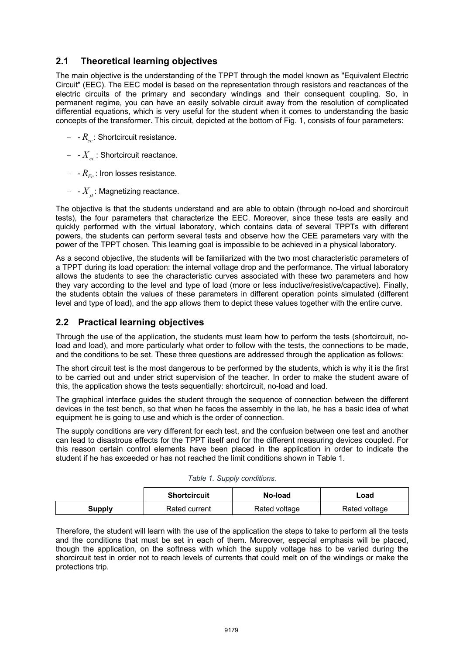## **2.1 Theoretical learning objectives**

The main objective is the understanding of the TPPT through the model known as "Equivalent Electric Circuit" (EEC). The EEC model is based on the representation through resistors and reactances of the electric circuits of the primary and secondary windings and their consequent coupling. So, in permanent regime, you can have an easily solvable circuit away from the resolution of complicated differential equations, which is very useful for the student when it comes to understanding the basic concepts of the transformer. This circuit, depicted at the bottom of Fig. 1, consists of four parameters:

- $-R_{cc}$ : Shortcircuit resistance.
- $-X_{cc}$ : Shortcircuit reactance.
- $\,$   $R_{Fe}$  : Iron losses resistance.
- $\left. -X_{\mu}\right.$ : Magnetizing reactance.

The objective is that the students understand and are able to obtain (through no-load and shorcircuit tests), the four parameters that characterize the EEC. Moreover, since these tests are easily and quickly performed with the virtual laboratory, which contains data of several TPPTs with different powers, the students can perform several tests and observe how the CEE parameters vary with the power of the TPPT chosen. This learning goal is impossible to be achieved in a physical laboratory.

As a second objective, the students will be familiarized with the two most characteristic parameters of a TPPT during its load operation: the internal voltage drop and the performance. The virtual laboratory allows the students to see the characteristic curves associated with these two parameters and how they vary according to the level and type of load (more or less inductive/resistive/capactive). Finally, the students obtain the values of these parameters in different operation points simulated (different level and type of load), and the app allows them to depict these values together with the entire curve.

## **2.2 Practical learning objectives**

Through the use of the application, the students must learn how to perform the tests (shortcircuit, noload and load), and more particularly what order to follow with the tests, the connections to be made, and the conditions to be set. These three questions are addressed through the application as follows:

The short circuit test is the most dangerous to be performed by the students, which is why it is the first to be carried out and under strict supervision of the teacher. In order to make the student aware of this, the application shows the tests sequentially: shortcircuit, no-load and load.

The graphical interface guides the student through the sequence of connection between the different devices in the test bench, so that when he faces the assembly in the lab, he has a basic idea of what equipment he is going to use and which is the order of connection.

The supply conditions are very different for each test, and the confusion between one test and another can lead to disastrous effects for the TPPT itself and for the different measuring devices coupled. For this reason certain control elements have been placed in the application in order to indicate the student if he has exceeded or has not reached the limit conditions shown in Table 1.

|        | <b>Shortcircuit</b> | No-load       | Load          |
|--------|---------------------|---------------|---------------|
| Supply | Rated current       | Rated voltage | Rated voltage |

|  |  | Table 1. Supply conditions. |
|--|--|-----------------------------|
|  |  |                             |

Therefore, the student will learn with the use of the application the steps to take to perform all the tests and the conditions that must be set in each of them. Moreover, especial emphasis will be placed, though the application, on the softness with which the supply voltage has to be varied during the shorcircuit test in order not to reach levels of currents that could melt on of the windings or make the protections trip.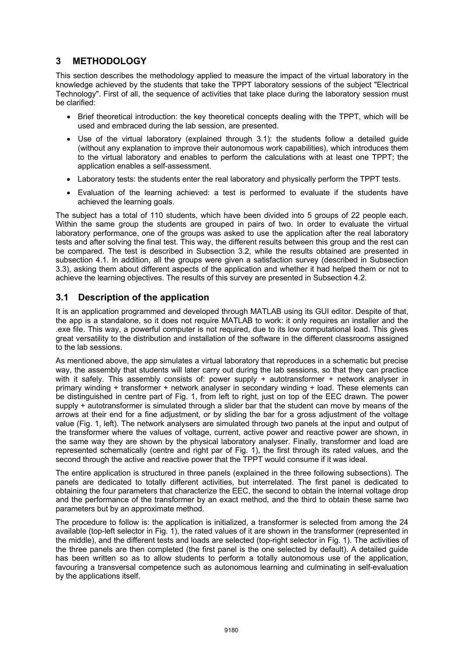## **3 METHODOLOGY**

This section describes the methodology applied to measure the impact of the virtual laboratory in the knowledge achieved by the students that take the TPPT laboratory sessions of the subject "Electrical Technology". First of all, the sequence of activities that take place during the laboratory session must be clarified:

- Brief theoretical introduction: the key theoretical concepts dealing with the TPPT, which will be used and embraced during the lab session, are presented.
- Use of the virtual laboratory (explained through 3.1): the students follow a detailed guide (without any explanation to improve their autonomous work capabilities), which introduces them to the virtual laboratory and enables to perform the calculations with at least one TPPT; the application enables a self-assessment.
- Laboratory tests: the students enter the real laboratory and physically perform the TPPT tests.
- Evaluation of the learning achieved: a test is performed to evaluate if the students have achieved the learning goals.

The subject has a total of 110 students, which have been divided into 5 groups of 22 people each. Within the same group the students are grouped in pairs of two. In order to evaluate the virtual laboratory performance, one of the groups was asked to use the application after the real laboratory tests and after solving the final test. This way, the different results between this group and the rest can be compared. The test is described in Subsection 3.2, while the results obtained are presented in subsection 4.1. In addition, all the groups were given a satisfaction survey (described in Subsection 3.3), asking them about different aspects of the application and whether it had helped them or not to achieve the learning objectives. The results of this survey are presented in Subsection 4.2.

### **3.1 Description of the application**

It is an application programmed and developed through MATLAB using its GUI editor. Despite of that, the app is a standalone, so it does not require MATLAB to work: it only requires an installer and the .exe file. This way, a powerful computer is not required, due to its low computational load. This gives great versatility to the distribution and installation of the software in the different classrooms assigned to the lab sessions.

As mentioned above, the app simulates a virtual laboratory that reproduces in a schematic but precise way, the assembly that students will later carry out during the lab sessions, so that they can practice with it safely. This assembly consists of: power supply + autotransformer + network analyser in primary winding + transformer + network analyser in secondary winding + load. These elements can be distinguished in centre part of Fig. 1, from left to right, just on top of the EEC drawn. The power supply + autotransformer is simulated through a slider bar that the student can move by means of the arrows at their end for a fine adjustment, or by sliding the bar for a gross adjustment of the voltage value (Fig. 1, left). The network analysers are simulated through two panels at the input and output of the transformer where the values of voltage, current, active power and reactive power are shown, in the same way they are shown by the physical laboratory analyser. Finally, transformer and load are represented schematically (centre and right par of Fig. 1), the first through its rated values, and the second through the active and reactive power that the TPPT would consume if it was ideal.

The entire application is structured in three panels (explained in the three following subsections). The panels are dedicated to totally different activities, but interrelated. The first panel is dedicated to obtaining the four parameters that characterize the EEC, the second to obtain the internal voltage drop and the performance of the transformer by an exact method, and the third to obtain these same two parameters but by an approximate method.

The procedure to follow is: the application is initialized, a transformer is selected from among the 24 available (top-left selector in Fig. 1), the rated values of it are shown in the transformer (represented in the middle), and the different tests and loads are selected (top-right selector in Fig. 1). The activities of the three panels are then completed (the first panel is the one selected by default). A detailed guide has been written so as to allow students to perform a totally autonomous use of the application, favouring a transversal competence such as autonomous learning and culminating in self-evaluation by the applications itself.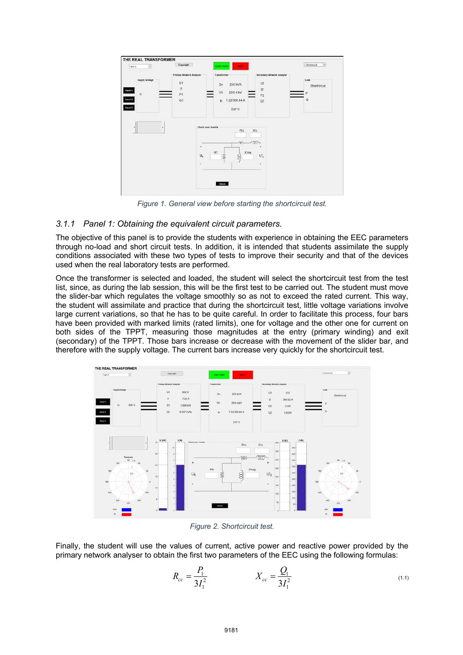

*Figure 1. General view before starting the shortcircuit test.* 

### *3.1.1 Panel 1: Obtaining the equivalent circuit parameters.*

The objective of this panel is to provide the students with experience in obtaining the EEC parameters through no-load and short circuit tests. In addition, it is intended that students assimilate the supply conditions associated with these two types of tests to improve their security and that of the devices used when the real laboratory tests are performed.

Once the transformer is selected and loaded, the student will select the shortcircuit test from the test list, since, as during the lab session, this will be the first test to be carried out. The student must move the slider-bar which regulates the voltage smoothly so as not to exceed the rated current. This way, the student will assimilate and practice that during the shortcircuit test, little voltage variations involve large current variations, so that he has to be quite careful. In order to facilitate this process, four bars have been provided with marked limits (rated limits), one for voltage and the other one for current on both sides of the TPPT, measuring those magnitudes at the entry (primary winding) and exit (secondary) of the TPPT. Those bars increase or decrease with the movement of the slider bar, and therefore with the supply voltage. The current bars increase very quickly for the shortcircuit test.



*Figure 2. Shortcircuit test.* 

Finally, the student will use the values of current, active power and reactive power provided by the primary network analyser to obtain the first two parameters of the EEC using the following formulas:

$$
R_{cc} = \frac{P_1}{3I_1^2} \qquad \qquad X_{cc} = \frac{Q_1}{3I_1^2} \tag{1.1}
$$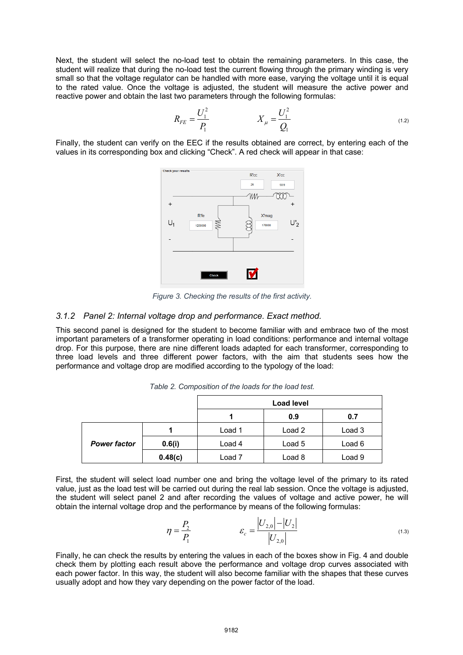Next, the student will select the no-load test to obtain the remaining parameters. In this case, the student will realize that during the no-load test the current flowing through the primary winding is very small so that the voltage regulator can be handled with more ease, varying the voltage until it is equal to the rated value. Once the voltage is adjusted, the student will measure the active power and reactive power and obtain the last two parameters through the following formulas:

$$
R_{FE} = \frac{U_1^2}{P_1} \qquad \qquad X_{\mu} = \frac{U_1^2}{Q_1} \tag{1.2}
$$

Finally, the student can verify on the EEC if the results obtained are correct, by entering each of the values in its corresponding box and clicking "Check". A red check will appear in that case:



*Figure 3. Checking the results of the first activity.* 

#### *3.1.2 Panel 2: Internal voltage drop and performance. Exact method.*

This second panel is designed for the student to become familiar with and embrace two of the most important parameters of a transformer operating in load conditions: performance and internal voltage drop. For this purpose, there are nine different loads adapted for each transformer, corresponding to three load levels and three different power factors, with the aim that students sees how the performance and voltage drop are modified according to the typology of the load:

|                     |         | <b>Load level</b> |        |        |
|---------------------|---------|-------------------|--------|--------|
|                     |         |                   | 0.9    | 0.7    |
|                     |         | Load 1            | Load 2 | Load 3 |
| <b>Power factor</b> | 0.6(i)  | Load 4            | Load 5 | Load 6 |
|                     | 0.48(c) | Load 7            | Load 8 | Load 9 |

*Table 2. Composition of the loads for the load test.* 

First, the student will select load number one and bring the voltage level of the primary to its rated value, just as the load test will be carried out during the real lab session. Once the voltage is adjusted, the student will select panel 2 and after recording the values of voltage and active power, he will obtain the internal voltage drop and the performance by means of the following formulas:

$$
\eta = \frac{P_2}{P_1} \qquad \qquad \varepsilon_c = \frac{|U_{2,0}|-|U_2|}{|U_{2,0}|} \qquad (1.3)
$$

Finally, he can check the results by entering the values in each of the boxes show in Fig. 4 and double check them by plotting each result above the performance and voltage drop curves associated with each power factor. In this way, the student will also become familiar with the shapes that these curves usually adopt and how they vary depending on the power factor of the load.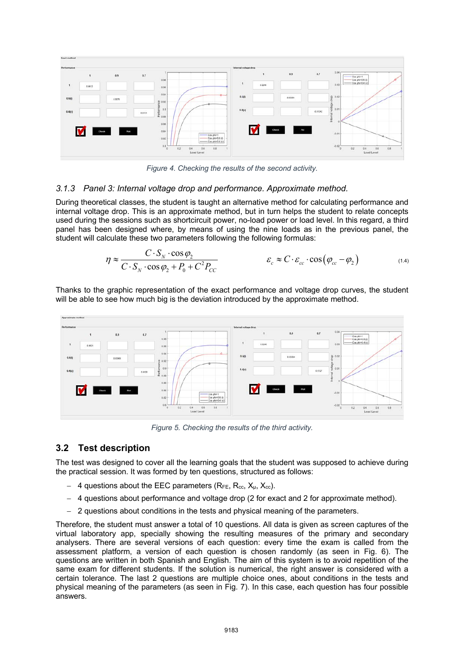

*Figure 4. Checking the results of the second activity.*

### *3.1.3 Panel 3: Internal voltage drop and performance. Approximate method.*

During theoretical classes, the student is taught an alternative method for calculating performance and internal voltage drop. This is an approximate method, but in turn helps the student to relate concepts used during the sessions such as shortcircuit power, no-load power or load level. In this regard, a third panel has been designed where, by means of using the nine loads as in the previous panel, the student will calculate these two parameters following the following formulas:

$$
\eta \approx \frac{C \cdot S_N \cdot \cos \varphi_2}{C \cdot S_N \cdot \cos \varphi_2 + P_0 + C^2 P_{CC}} \qquad \qquad \varepsilon_c \approx C \cdot \varepsilon_{cc} \cdot \cos (\varphi_{cc} - \varphi_2) \qquad (1.4)
$$

Thanks to the graphic representation of the exact performance and voltage drop curves, the student will be able to see how much big is the deviation introduced by the approximate method.



*Figure 5. Checking the results of the third activity.*

### **3.2 Test description**

The test was designed to cover all the learning goals that the student was supposed to achieve during the practical session. It was formed by ten questions, structured as follows:

- 4 questions about the EEC parameters ( $R_{FE}$ ,  $R_{cc}$ ,  $X_{\mu}$ ,  $X_{cc}$ ).
- 4 questions about performance and voltage drop (2 for exact and 2 for approximate method).
- 2 questions about conditions in the tests and physical meaning of the parameters.

Therefore, the student must answer a total of 10 questions. All data is given as screen captures of the virtual laboratory app, specially showing the resulting measures of the primary and secondary analysers. There are several versions of each question: every time the exam is called from the assessment platform, a version of each question is chosen randomly (as seen in Fig. 6). The questions are written in both Spanish and English. The aim of this system is to avoid repetition of the same exam for different students. If the solution is numerical, the right answer is considered with a certain tolerance. The last 2 questions are multiple choice ones, about conditions in the tests and physical meaning of the parameters (as seen in Fig. 7). In this case, each question has four possible answers.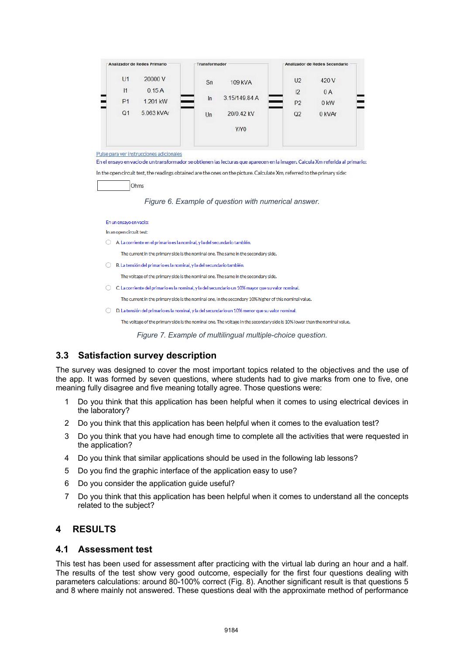| Analizador de Redes Primario |            | Transformador |                  | Analizador de Redes Secundario |        |
|------------------------------|------------|---------------|------------------|--------------------------------|--------|
| U1                           | 20000V     | Sn            | 109 kVA          | U <sub>2</sub>                 | 420 V  |
| 1                            | 0.15A      |               |                  | 12                             | 0A     |
| P <sub>1</sub>               | 1.201 kW   | In            | 3.15/149.84 A    | P <sub>2</sub>                 | 0 kW   |
| Q <sub>1</sub>               | 5.063 kVAr | Un            | 20/0.42 kV       | Q2                             | 0 kVAr |
|                              |            |               | Y/Y <sub>0</sub> |                                |        |
|                              |            |               |                  |                                |        |

Pulse para ver instrucciones adicionales

En el ensayo en vacio de un transformador se obtienen las lecturas que aparecen en la imagen. Calcula Xm referida al primario: In the open circuit test, the readings obtained are the ones on the picture. Calculate Xm, referred to the primary side:

Ohms

*Figure 6. Example of question with numerical answer.* 

En un ensayo en vacío:

In an open circuit test:

○ A. La corriente en el primario es la nominal, y la del secundario también.

The current in the primary side is the nominal one. The same in the secondary side.

○ B. La tensión del primario es la nominal, y la del secundario también.

The voltage of the primary side is the nominal one. The same in the secondary side.

○ C. La corriente del primario es la nominal, y la del secundario un 10% mayor que su valor nominal.

The current in the primary side is the nominal one, in the secondary 10% higher of this nominal value.

○ D. La tensión del primario es la nominal, y la del secundario un 10% menor que su valor nominal.

The voltage of the primary side is the nominal one. The voltage in the secondary side is 10% lower than the nominal value

*Figure 7. Example of multilingual multiple-choice question.* 

### **3.3 Satisfaction survey description**

The survey was designed to cover the most important topics related to the objectives and the use of the app. It was formed by seven questions, where students had to give marks from one to five, one meaning fully disagree and five meaning totally agree. Those questions were:

- 1 Do you think that this application has been helpful when it comes to using electrical devices in the laboratory?
- 2 Do you think that this application has been helpful when it comes to the evaluation test?
- 3 Do you think that you have had enough time to complete all the activities that were requested in the application?
- 4 Do you think that similar applications should be used in the following lab lessons?
- 5 Do you find the graphic interface of the application easy to use?
- 6 Do you consider the application guide useful?
- 7 Do you think that this application has been helpful when it comes to understand all the concepts related to the subject?

## **4 RESULTS**

### **4.1 Assessment test**

This test has been used for assessment after practicing with the virtual lab during an hour and a half. The results of the test show very good outcome, especially for the first four questions dealing with parameters calculations: around 80-100% correct (Fig. 8). Another significant result is that questions 5 and 8 where mainly not answered. These questions deal with the approximate method of performance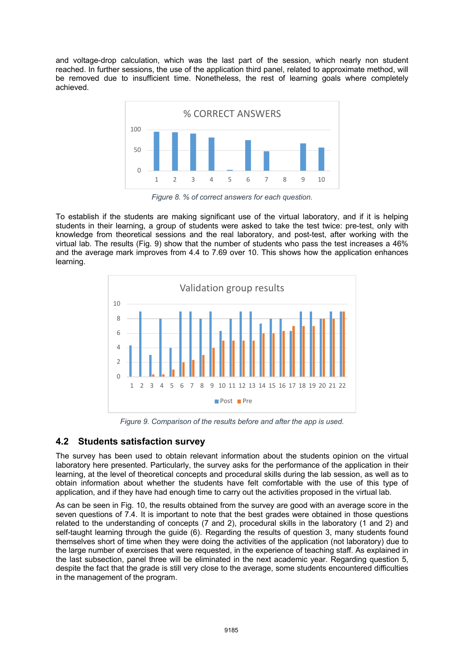and voltage-drop calculation, which was the last part of the session, which nearly non student reached. In further sessions, the use of the application third panel, related to approximate method, will be removed due to insufficient time. Nonetheless, the rest of learning goals where completely achieved.



*Figure 8. % of correct answers for each question.* 

To establish if the students are making significant use of the virtual laboratory, and if it is helping students in their learning, a group of students were asked to take the test twice: pre-test, only with knowledge from theoretical sessions and the real laboratory, and post-test, after working with the virtual lab. The results (Fig. 9) show that the number of students who pass the test increases a 46% and the average mark improves from 4.4 to 7.69 over 10. This shows how the application enhances learning.



*Figure 9. Comparison of the results before and after the app is used.*

# **4.2 Students satisfaction survey**

The survey has been used to obtain relevant information about the students opinion on the virtual laboratory here presented. Particularly, the survey asks for the performance of the application in their learning, at the level of theoretical concepts and procedural skills during the lab session, as well as to obtain information about whether the students have felt comfortable with the use of this type of application, and if they have had enough time to carry out the activities proposed in the virtual lab.

As can be seen in Fig. 10, the results obtained from the survey are good with an average score in the seven questions of 7.4. It is important to note that the best grades were obtained in those questions related to the understanding of concepts (7 and 2), procedural skills in the laboratory (1 and 2) and self-taught learning through the guide (6). Regarding the results of question 3, many students found themselves short of time when they were doing the activities of the application (not laboratory) due to the large number of exercises that were requested, in the experience of teaching staff. As explained in the last subsection, panel three will be eliminated in the next academic year. Regarding question 5, despite the fact that the grade is still very close to the average, some students encountered difficulties in the management of the program.